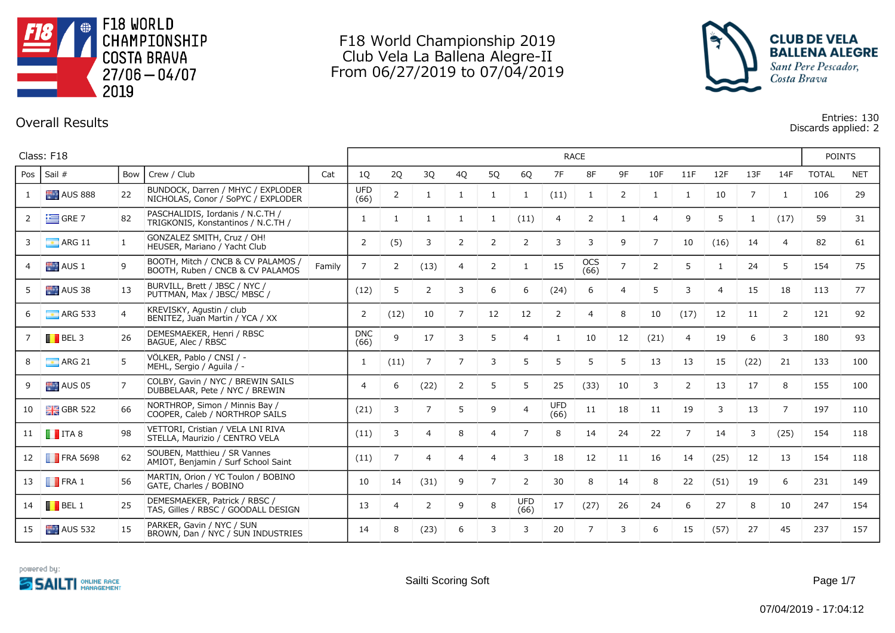

## F18 World Championship 2019 Club Vela La Ballena Alegre-II From 06/27/2019 to 07/04/2019



## **Overall Results Entries: 130 Discards applied: 2**

|     | Class: F18              |                |                                                                         |        |                    |                |                |                |                |                    |                    | <b>RACE</b>    |                |                |                |                |                |                | <b>POINTS</b> |            |
|-----|-------------------------|----------------|-------------------------------------------------------------------------|--------|--------------------|----------------|----------------|----------------|----------------|--------------------|--------------------|----------------|----------------|----------------|----------------|----------------|----------------|----------------|---------------|------------|
| Pos | Sail #                  | Bow            | Crew / Club                                                             | Cat    | 1Q                 | 2Q             | 3Q             | 4Q             | 5Q             | 6Q                 | 7F                 | 8F             | 9F             | 10F            | 11F            | 12F            | 13F            | 14F            | <b>TOTAL</b>  | <b>NET</b> |
|     | <b>AUS 888</b>          | 22             | BUNDOCK, Darren / MHYC / EXPLODER<br>NICHOLAS, Conor / SoPYC / EXPLODER |        | <b>UFD</b><br>(66) | $\overline{2}$ | -1             | $\mathbf{1}$   | 1              | 1                  | (11)               | 1              | 2              | $\mathbf{1}$   | 1              | 10             | $\overline{7}$ | $\mathbf{1}$   | 106           | 29         |
|     | $\equiv$ GRE 7          | 82             | PASCHALIDIS, Iordanis / N.C.TH /<br>TRIGKONIS, Konstantinos / N.C.TH /  |        | 1                  | 1              | -1             | -1             | 1              | (11)               | 4                  | $\overline{2}$ | 1              | $\overline{4}$ | 9              | 5              | 1              | (17)           | 59            | 31         |
|     | $\blacksquare$ ARG 11   | 1              | GONZALEZ SMITH, Cruz / OH!<br>HEUSER, Mariano / Yacht Club              |        | 2                  | (5)            | 3              | 2              | $\overline{2}$ | $\overline{2}$     | 3                  | 3              | 9              | $\overline{7}$ | 10             | (16)           | 14             | $\overline{4}$ | 82            | 61         |
|     | $AUS_1$                 | 9              | BOOTH, Mitch / CNCB & CV PALAMOS /<br>BOOTH, Ruben / CNCB & CV PALAMOS  | Family | $\overline{7}$     | $\overline{2}$ | (13)           | $\overline{4}$ | 2              | 1                  | 15                 | OCS<br>(66)    | $\overline{7}$ | 2              | 5              | 1              | 24             | 5              | 154           | 75         |
|     | AUS 38                  | 13             | BURVILL, Brett / JBSC / NYC /<br>PUTTMAN, Max / JBSC/ MBSC /            |        | (12)               | 5              | $\overline{2}$ | 3              | 6              | 6                  | (24)               | 6              | 4              | 5              | 3              | $\overline{4}$ | 15             | 18             | 113           | 77         |
|     | $\blacksquare$ ARG 533  | $\overline{4}$ | KREVISKY, Agustin / club<br>BENITEZ, Juan Martin / YCA / XX             |        | 2                  | (12)           | 10             | $\overline{7}$ | 12             | 12                 | $\overline{2}$     | $\overline{4}$ | 8              | 10             | (17)           | 12             | 11             | 2              | 121           | 92         |
|     | $\blacksquare$ BEL 3    | 26             | DEMESMAEKER, Henri / RBSC<br>BAGUÉ, Alec / RBSC                         |        | <b>DNC</b><br>(66) | 9              | 17             | 3              | 5              | $\overline{4}$     | $\mathbf{1}$       | 10             | 12             | (21)           | $\overline{4}$ | 19             | 6              | 3              | 180           | 93         |
|     | $\blacksquare$ ARG 21   | 5              | VÖLKER, Pablo / CNSI / -<br>MEHL, Sergio / Aguila / -                   |        | 1                  | (11)           | $\overline{7}$ | $\overline{7}$ | 3              | 5                  | 5                  | 5              | 5              | 13             | 13             | 15             | (22)           | 21             | 133           | 100        |
|     | AUS05                   | $\overline{7}$ | COLBY, Gavin / NYC / BREWIN SAILS<br>DUBBELAAR, Pete / NYC / BREWIN     |        | $\overline{4}$     | 6              | (22)           | 2              | 5              | 5                  | 25                 | (33)           | 10             | 3              | $\overline{2}$ | 13             | 17             | 8              | 155           | 100        |
| 10  | $\frac{1}{26}$ GBR 522  | 66             | NORTHROP, Simon / Minnis Bay /<br>COOPER, Caleb / NORTHROP SAILS        |        | (21)               | 3              | $\overline{7}$ | 5              | 9              | $\overline{4}$     | <b>UFD</b><br>(66) | 11             | 18             | 11             | 19             | 3              | 13             | $\overline{7}$ | 197           | 110        |
| 11  | $\blacksquare$ ITA 8    | 98             | VETTORI, Cristian / VELA LNI RIVA<br>STELLA, Maurizio / CENTRO VELA     |        | (11)               | 3              | 4              | 8              | $\overline{4}$ | $\overline{7}$     | 8                  | 14             | 24             | 22             | $\overline{7}$ | 14             | 3              | (25)           | 154           | 118        |
| 12  | $\blacksquare$ FRA 5698 | 62             | SOUBEN, Matthieu / SR Vannes<br>AMIOT, Benjamin / Surf School Saint     |        | (11)               | $\overline{7}$ | $\overline{4}$ | $\overline{4}$ | $\overline{4}$ | 3                  | 18                 | 12             | 11             | 16             | 14             | (25)           | 12             | 13             | 154           | 118        |
| 13  | $\blacksquare$ FRA 1    | 56             | MARTIN, Orion / YC Toulon / BOBINO<br>GATE, Charles / BOBINO            |        | 10                 | 14             | (31)           | 9              | $\overline{7}$ | $\overline{2}$     | 30                 | 8              | 14             | 8              | 22             | (51)           | 19             | 6              | 231           | 149        |
| 14  | $\blacksquare$ BEL 1    | 25             | DEMESMAEKER, Patrick / RBSC /<br>TAS, Gilles / RBSC / GOODALL DESIGN    |        | 13                 | 4              | 2              | 9              | 8              | <b>UFD</b><br>(66) | 17                 | (27)           | 26             | 24             | 6              | 27             | 8              | 10             | 247           | 154        |
| 15  | <b>AUS</b> 532          | 15             | PARKER, Gavin / NYC / SUN<br>BROWN, Dan / NYC / SUN INDUSTRIES          |        | 14                 | 8              | (23)           | 6              | 3              | 3                  | 20                 | $\overline{7}$ | 3              | 6              | 15             | (57)           | 27             | 45             | 237           | 157        |

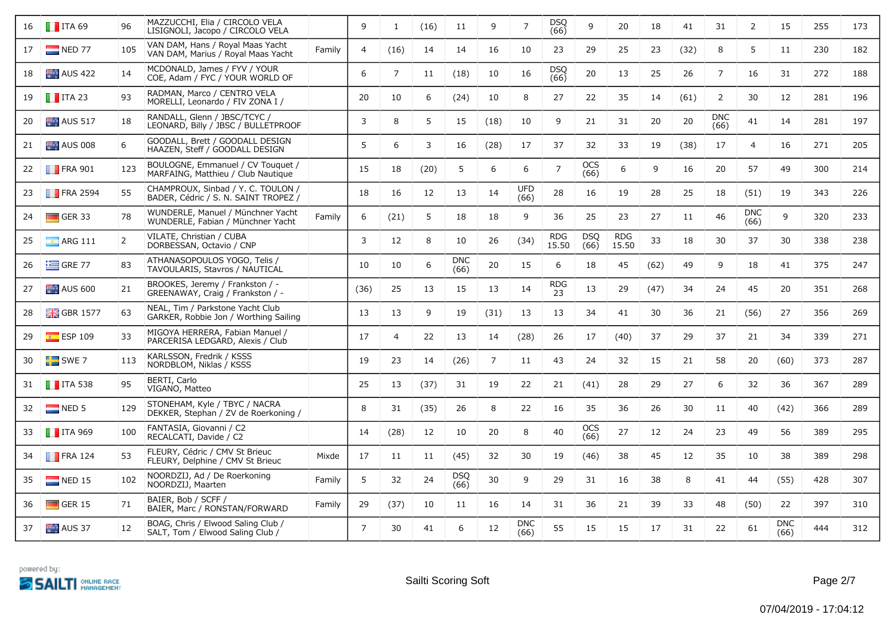| 16 | $\blacksquare$ ITA 69    | 96             | MAZZUCCHI, Elia / CIRCOLO VELA<br>LISIGNOLI, Jacopo / CIRCOLO VELA         |        | 9              | 1              | (16) | 11                 | 9              | $\overline{7}$     | <b>DSQ</b><br>(66)  | 9                  | 20                  | 18   | 41   | 31                 | $\overline{2}$     | 15                 | 255 | 173 |
|----|--------------------------|----------------|----------------------------------------------------------------------------|--------|----------------|----------------|------|--------------------|----------------|--------------------|---------------------|--------------------|---------------------|------|------|--------------------|--------------------|--------------------|-----|-----|
| 17 | $NED$ 77                 | 105            | VAN DAM, Hans / Royal Maas Yacht<br>VAN DAM, Marius / Royal Maas Yacht     | Family | $\overline{4}$ | (16)           | 14   | 14                 | 16             | 10                 | 23                  | 29                 | 25                  | 23   | (32) | 8                  | 5                  | 11                 | 230 | 182 |
| 18 | <b>AUS 422</b>           | 14             | MCDONALD, James / FYV / YOUR<br>COE, Adam / FYC / YOUR WORLD OF            |        | 6              | $\overline{7}$ | 11   | (18)               | 10             | 16                 | <b>DSQ</b><br>(66)  | 20                 | 13                  | 25   | 26   | $\overline{7}$     | 16                 | 31                 | 272 | 188 |
| 19 | $\blacksquare$ ITA 23    | 93             | RADMAN, Marco / CENTRO VELA<br>MORELLI, Leonardo / FIV ZONA I /            |        | 20             | 10             | 6    | (24)               | 10             | 8                  | 27                  | 22                 | 35                  | 14   | (61) | 2                  | 30                 | 12                 | 281 | 196 |
| 20 | $\blacksquare$ AUS 517   | 18             | RANDALL, Glenn / JBSC/TCYC /<br>LEONARD, Billy / JBSC / BULLETPROOF        |        | 3              | 8              | 5    | 15                 | (18)           | 10                 | 9                   | 21                 | 31                  | 20   | 20   | <b>DNC</b><br>(66) | 41                 | 14                 | 281 | 197 |
| 21 | $\blacksquare$ AUS 008   | 6              | GOODALL, Brett / GOODALL DESIGN<br>HAAZEN, Steff / GOODALL DESIGN          |        | 5              | 6              | 3    | 16                 | (28)           | 17                 | 37                  | 32                 | 33                  | 19   | (38) | 17                 | $\overline{4}$     | 16                 | 271 | 205 |
| 22 | <b>FRA 901</b>           | 123            | BOULOGNE, Emmanuel / CV Touquet /<br>MARFAING, Matthieu / Club Nautique    |        | 15             | 18             | (20) | 5                  | 6              | 6                  | $\overline{7}$      | <b>OCS</b><br>(66) | 6                   | 9    | 16   | 20                 | 57                 | 49                 | 300 | 214 |
| 23 | $\blacksquare$ FRA 2594  | 55             | CHAMPROUX, Sinbad / Y. C. TOULON /<br>BADER, Cédric / S. N. SAINT TROPEZ / |        | 18             | 16             | 12   | 13                 | 14             | <b>UFD</b><br>(66) | 28                  | 16                 | 19                  | 28   | 25   | 18                 | (51)               | 19                 | 343 | 226 |
| 24 | $\Box$ GER 33            | 78             | WUNDERLE, Manuel / Münchner Yacht<br>WUNDERLE, Fabian / Münchner Yacht     | Family | 6              | (21)           | 5    | 18                 | 18             | 9                  | 36                  | 25                 | 23                  | 27   | 11   | 46                 | <b>DNC</b><br>(66) | 9                  | 320 | 233 |
| 25 | $\blacksquare$ ARG 111   | $\overline{2}$ | VILATE, Christian / CUBA<br>DORBESSAN, Octavio / CNP                       |        | 3              | 12             | 8    | 10                 | 26             | (34)               | <b>RDG</b><br>15.50 | DSQ<br>(66)        | <b>RDG</b><br>15.50 | 33   | 18   | 30                 | 37                 | 30                 | 338 | 238 |
| 26 | $=$ GRE 77               | 83             | ATHANASOPOULOS YOGO, Telis /<br>TAVOULARIS, Stavros / NAUTICAL             |        | 10             | 10             | 6    | <b>DNC</b><br>(66) | 20             | 15                 | 6                   | 18                 | 45                  | (62) | 49   | 9                  | 18                 | 41                 | 375 | 247 |
| 27 | <b>AUS 600</b>           | 21             | BROOKES, Jeremy / Frankston / -<br>GREENAWAY, Craig / Frankston / -        |        | (36)           | 25             | 13   | 15                 | 13             | 14                 | <b>RDG</b><br>23    | 13                 | 29                  | (47) | 34   | 24                 | 45                 | 20                 | 351 | 268 |
| 28 | $\frac{1}{200}$ GBR 1577 | 63             | NEAL, Tim / Parkstone Yacht Club<br>GARKER, Robbie Jon / Worthing Sailing  |        | 13             | 13             | 9    | 19                 | (31)           | 13                 | 13                  | 34                 | 41                  | 30   | 36   | 21                 | (56)               | 27                 | 356 | 269 |
| 29 | $\frac{1}{10}$ ESP 109   | 33             | MIGOYA HERRERA, Fabian Manuel /<br>PARCERISA LEDGARD, Alexis / Club        |        | 17             | $\overline{4}$ | 22   | 13                 | 14             | (28)               | 26                  | 17                 | (40)                | 37   | 29   | 37                 | 21                 | 34                 | 339 | 271 |
| 30 | $SWE$ 7                  | 113            | KARLSSON, Fredrik / KSSS<br>NORDBLOM, Niklas / KSSS                        |        | 19             | 23             | 14   | (26)               | $\overline{7}$ | 11                 | 43                  | 24                 | 32                  | 15   | 21   | 58                 | 20                 | (60)               | 373 | 287 |
| 31 | $\blacksquare$ ITA 538   | 95             | BERTI, Carlo<br>VIGANO, Matteo                                             |        | 25             | 13             | (37) | 31                 | 19             | 22                 | 21                  | (41)               | 28                  | 29   | 27   | 6                  | 32                 | 36                 | 367 | 289 |
| 32 | NED <sub>5</sub>         | 129            | STONEHAM, Kyle / TBYC / NACRA<br>DEKKER, Stephan / ZV de Roerkoning /      |        | 8              | 31             | (35) | 26                 | 8              | 22                 | 16                  | 35                 | 36                  | 26   | 30   | 11                 | 40                 | (42)               | 366 | 289 |
| 33 | $\blacksquare$ ITA 969   | 100            | FANTASIA, Giovanni / C2<br>RECALCATI, Davide / C2                          |        | 14             | (28)           | 12   | 10                 | 20             | 8                  | 40                  | OCS<br>(66)        | 27                  | 12   | 24   | 23                 | 49                 | 56                 | 389 | 295 |
| 34 | $\blacksquare$ FRA 124   | 53             | FLEURY, Cédric / CMV St Brieuc<br>FLEURY, Delphine / CMV St Brieuc         | Mixde  | 17             | 11             | 11   | (45)               | 32             | 30                 | 19                  | (46)               | 38                  | 45   | 12   | 35                 | 10                 | 38                 | 389 | 298 |
| 35 | $NED$ 15                 | 102            | NOORDZIJ, Ad / De Roerkoning<br>NOORDZIJ, Maarten                          | Family | 5              | 32             | 24   | <b>DSQ</b><br>(66) | 30             | 9                  | 29                  | 31                 | 16                  | 38   | 8    | 41                 | 44                 | (55)               | 428 | 307 |
| 36 | $\Box$ GER 15            | 71             | BAIER, Bob / SCFF /<br>BAIER, Marc / RONSTAN/FORWARD                       | Family | 29             | (37)           | 10   | 11                 | 16             | 14                 | 31                  | 36                 | 21                  | 39   | 33   | 48                 | (50)               | 22                 | 397 | 310 |
| 37 | AUS 37                   | 12             | BOAG, Chris / Elwood Saling Club /<br>SALT, Tom / Elwood Saling Club /     |        | $\overline{7}$ | 30             | 41   | 6                  | 12             | DNC<br>(66)        | 55                  | 15                 | 15                  | 17   | 31   | 22                 | 61                 | <b>DNC</b><br>(66) | 444 | 312 |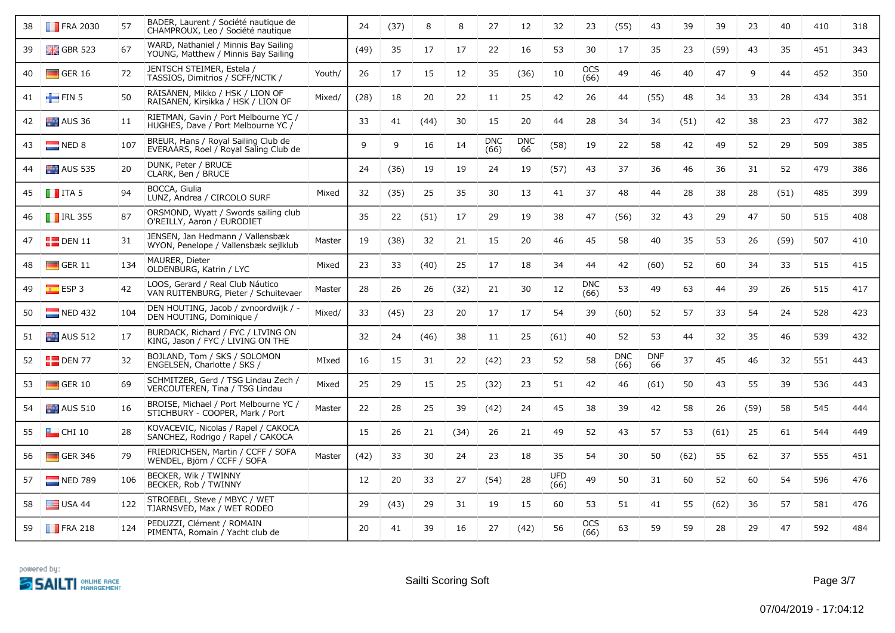| 38 | $\blacksquare$ FRA 2030 | 57  | BADER, Laurent / Société nautique de<br>CHAMPROUX, Leo / Société nautique    |        | 24   | (37) | 8    | 8    | 27                 | 12               | 32                 | 23                 | (55)               | 43               | 39   | 39   | 23   | 40   | 410 | 318 |
|----|-------------------------|-----|------------------------------------------------------------------------------|--------|------|------|------|------|--------------------|------------------|--------------------|--------------------|--------------------|------------------|------|------|------|------|-----|-----|
| 39 | $\frac{1}{2}$ GBR 523   | 67  | WARD, Nathaniel / Minnis Bay Sailing<br>YOUNG, Matthew / Minnis Bay Sailing  |        | (49) | 35   | 17   | 17   | 22                 | 16               | 53                 | 30                 | 17                 | 35               | 23   | (59) | 43   | 35   | 451 | 343 |
| 40 | $\Box$ GER 16           | 72  | JENTSCH STEIMER, Estela /<br>TASSIOS, Dimitrios / SCFF/NCTK /                | Youth/ | 26   | 17   | 15   | 12   | 35                 | (36)             | 10                 | <b>OCS</b><br>(66) | 49                 | 46               | 40   | 47   | 9    | 44   | 452 | 350 |
| 41 | FIN 5                   | 50  | RAISANEN, Mikko / HSK / LION OF<br>RAISANEN, Kirsikka / HSK / LION OF        | Mixed/ | (28) | 18   | 20   | 22   | 11                 | 25               | 42                 | 26                 | 44                 | (55)             | 48   | 34   | 33   | 28   | 434 | 351 |
| 42 | AUS 36                  | 11  | RIETMAN, Gavin / Port Melbourne YC /<br>HUGHES, Dave / Port Melbourne YC /   |        | 33   | 41   | (44) | 30   | 15                 | 20               | 44                 | 28                 | 34                 | 34               | (51) | 42   | 38   | 23   | 477 | 382 |
| 43 | NED 8                   | 107 | BREUR, Hans / Royal Sailing Club de<br>EVERAARS, Roel / Royal Saling Club de |        | 9    | 9    | 16   | 14   | <b>DNC</b><br>(66) | <b>DNC</b><br>66 | (58)               | 19                 | 22                 | 58               | 42   | 49   | 52   | 29   | 509 | 385 |
| 44 | $ALS$ 535               | 20  | DUNK, Peter / BRUCE<br>CLARK, Ben / BRUCE                                    |        | 24   | (36) | 19   | 19   | 24                 | 19               | (57)               | 43                 | 37                 | 36               | 46   | 36   | 31   | 52   | 479 | 386 |
| 45 | $\blacksquare$ ITA 5    | 94  | BOCCA, Giulia<br>LUNZ, Andrea / CIRCOLO SURF                                 | Mixed  | 32   | (35) | 25   | 35   | 30                 | 13               | 41                 | 37                 | 48                 | 44               | 28   | 38   | 28   | (51) | 485 | 399 |
| 46 | $\blacksquare$ IRL 355  | 87  | ORSMOND, Wyatt / Swords sailing club<br>O'REILLY, Aaron / EURODIET           |        | 35   | 22   | (51) | 17   | 29                 | 19               | 38                 | 47                 | (56)               | 32               | 43   | 29   | 47   | 50   | 515 | 408 |
| 47 | $\blacksquare$ DEN 11   | 31  | JENSEN, Jan Hedmann / Vallensbæk<br>WYON, Penelope / Vallensbæk sejlklub     | Master | 19   | (38) | 32   | 21   | 15                 | 20               | 46                 | 45                 | 58                 | 40               | 35   | 53   | 26   | (59) | 507 | 410 |
| 48 | $\Box$ GER 11           | 134 | MAURER, Dieter<br>OLDENBURG, Katrin / LYC                                    | Mixed  | 23   | 33   | (40) | 25   | 17                 | 18               | 34                 | 44                 | 42                 | (60)             | 52   | 60   | 34   | 33   | 515 | 415 |
| 49 | ESP3                    | 42  | LOOS, Gerard / Real Club Náutico<br>VAN RUITENBURG, Pieter / Schuitevaer     | Master | 28   | 26   | 26   | (32) | 21                 | 30               | 12                 | <b>DNC</b><br>(66) | 53                 | 49               | 63   | 44   | 39   | 26   | 515 | 417 |
| 50 | $\blacksquare$ NED 432  | 104 | DEN HOUTING, Jacob / zvnoordwijk / -<br>DEN HOUTING, Dominique /             | Mixed/ | 33   | (45) | 23   | 20   | 17                 | 17               | 54                 | 39                 | (60)               | 52               | 57   | 33   | 54   | 24   | 528 | 423 |
| 51 | <b>AUS 512</b>          | 17  | BURDACK, Richard / FYC / LIVING ON<br>KING, Jason / FYC / LIVING ON THE      |        | 32   | 24   | (46) | 38   | 11                 | 25               | (61)               | 40                 | 52                 | 53               | 44   | 32   | 35   | 46   | 539 | 432 |
| 52 | $E$ DEN 77              | 32  | BOJLAND, Tom / SKS / SOLOMON<br>ENGELSEN, Charlotte / SKS /                  | MIxed  | 16   | 15   | 31   | 22   | (42)               | 23               | 52                 | 58                 | <b>DNC</b><br>(66) | <b>DNF</b><br>66 | 37   | 45   | 46   | 32   | 551 | 443 |
| 53 | $\Box$ GER 10           | 69  | SCHMITZER, Gerd / TSG Lindau Zech /<br>VERCOUTEREN, Tina / TSG Lindau        | Mixed  | 25   | 29   | 15   | 25   | (32)               | 23               | 51                 | 42                 | 46                 | (61)             | 50   | 43   | 55   | 39   | 536 | 443 |
| 54 | $\blacksquare$ AUS 510  | 16  | BROISE, Michael / Port Melbourne YC /<br>STICHBURY - COOPER, Mark / Port     | Master | 22   | 28   | 25   | 39   | (42)               | 24               | 45                 | 38                 | 39                 | 42               | 58   | 26   | (59) | 58   | 545 | 444 |
| 55 | $\Box$ CHI 10           | 28  | KOVACEVIC, Nicolas / Rapel / CAKOCA<br>SANCHEZ, Rodrigo / Rapel / CAKOCA     |        | 15   | 26   | 21   | (34) | 26                 | 21               | 49                 | 52                 | 43                 | 57               | 53   | (61) | 25   | 61   | 544 | 449 |
| 56 | $\Box$ GER 346          | 79  | FRIEDRICHSEN, Martin / CCFF / SOFA<br>WENDEL, Björn / CCFF / SOFA            | Master | (42) | 33   | 30   | 24   | 23                 | 18               | 35                 | 54                 | 30                 | 50               | (62) | 55   | 62   | 37   | 555 | 451 |
| 57 | $NED$ 789               | 106 | BECKER, Wik / TWINNY<br>BECKER, Rob / TWINNY                                 |        | 12   | 20   | 33   | 27   | (54)               | 28               | <b>UFD</b><br>(66) | 49                 | 50                 | 31               | 60   | 52   | 60   | 54   | 596 | 476 |
| 58 | $\Box$ USA 44           | 122 | STROEBEL, Steve / MBYC / WET<br>TJÄRNSVED, Max / WET RODEO                   |        | 29   | (43) | 29   | 31   | 19                 | 15               | 60                 | 53                 | 51                 | 41               | 55   | (62) | 36   | 57   | 581 | 476 |
| 59 | $\blacksquare$ FRA 218  | 124 | PEDUZZI, Clément / ROMAIN<br>PIMENTA, Romain / Yacht club de                 |        | 20   | 41   | 39   | 16   | 27                 | (42)             | 56                 | <b>OCS</b><br>(66) | 63                 | 59               | 59   | 28   | 29   | 47   | 592 | 484 |

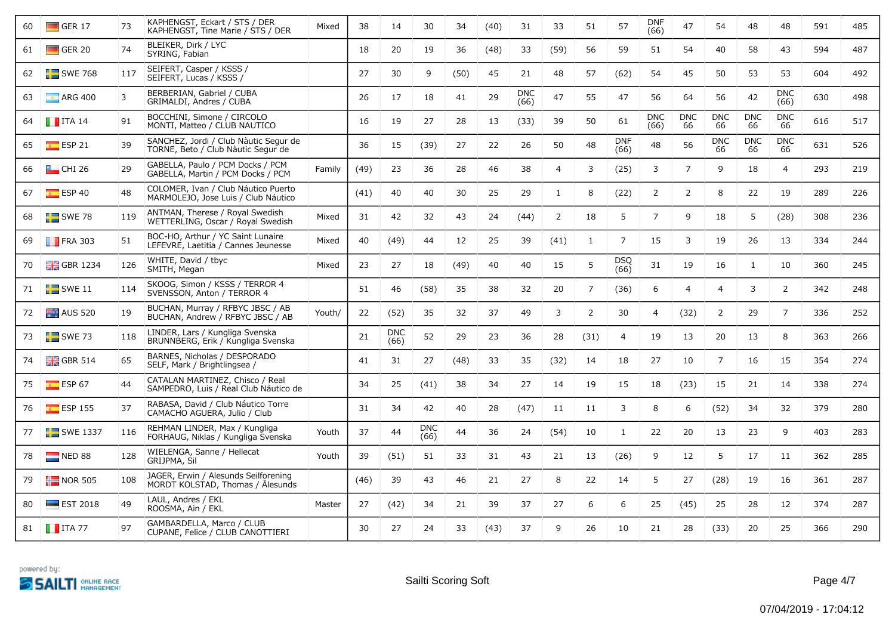| 60 | $\Box$ GER 17            | 73  | KAPHENGST, Eckart / STS / DER<br>KAPHENGST, Tine Marie / STS / DER          | Mixed  | 38   | 14                 | 30                 | 34   | (40) | 31                 | 33             | 51             | 57                 | <b>DNF</b><br>(66) | 47               | 54               | 48               | 48                 | 591 | 485 |
|----|--------------------------|-----|-----------------------------------------------------------------------------|--------|------|--------------------|--------------------|------|------|--------------------|----------------|----------------|--------------------|--------------------|------------------|------------------|------------------|--------------------|-----|-----|
| 61 | $\Box$ GER 20            | 74  | BLEIKER, Dirk / LYC<br>SYRING, Fabian                                       |        | 18   | 20                 | 19                 | 36   | (48) | 33                 | (59)           | 56             | 59                 | 51                 | 54               | 40               | 58               | 43                 | 594 | 487 |
| 62 | $SWE$ 768                | 117 | SEIFERT, Casper / KSSS /<br>SEIFERT, Lucas / KSSS /                         |        | 27   | 30                 | 9                  | (50) | 45   | 21                 | 48             | 57             | (62)               | 54                 | 45               | 50               | 53               | 53                 | 604 | 492 |
| 63 | $\blacksquare$ ARG 400   | 3   | BERBERIAN, Gabriel / CUBA<br>GRIMALDI, Andres / CUBA                        |        | 26   | 17                 | 18                 | 41   | 29   | <b>DNC</b><br>(66) | 47             | 55             | 47                 | 56                 | 64               | 56               | 42               | <b>DNC</b><br>(66) | 630 | 498 |
| 64 | $\blacksquare$ ITA 14    | 91  | BOCCHINI, Simone / CIRCOLO<br>MONTI, Matteo / CLUB NAUTICO                  |        | 16   | 19                 | 27                 | 28   | 13   | (33)               | 39             | 50             | 61                 | <b>DNC</b><br>(66) | <b>DNC</b><br>66 | <b>DNC</b><br>66 | <b>DNC</b><br>66 | <b>DNC</b><br>66   | 616 | 517 |
| 65 | ESP21                    | 39  | SANCHEZ, Jordi / Club Nàutic Segur de<br>TORNE, Beto / Club Nàutic Segur de |        | 36   | 15                 | (39)               | 27   | 22   | 26                 | 50             | 48             | <b>DNF</b><br>(66) | 48                 | 56               | <b>DNC</b><br>66 | <b>DNC</b><br>66 | <b>DNC</b><br>66   | 631 | 526 |
| 66 | $\Box$ CHI 26            | 29  | GABELLA, Paulo / PCM Docks / PCM<br>GABELLA, Martin / PCM Docks / PCM       | Family | (49) | 23                 | 36                 | 28   | 46   | 38                 | $\overline{4}$ | 3              | (25)               | 3                  | $\overline{7}$   | 9                | 18               | $\overline{4}$     | 293 | 219 |
| 67 | ESP 40                   | 48  | COLOMER, Ivan / Club Náutico Puerto<br>MARMOLEJO, Jose Luis / Club Náutico  |        | (41) | 40                 | 40                 | 30   | 25   | 29                 | $\mathbf{1}$   | 8              | (22)               | $\overline{2}$     | $\overline{2}$   | 8                | 22               | 19                 | 289 | 226 |
| 68 | $SWE$ 78                 | 119 | ANTMAN, Therese / Royal Swedish<br>WETTERLING, Oscar / Royal Swedish        | Mixed  | 31   | 42                 | 32                 | 43   | 24   | (44)               | $\overline{2}$ | 18             | 5                  | $\overline{7}$     | 9                | 18               | 5                | (28)               | 308 | 236 |
| 69 | $\blacksquare$ FRA 303   | 51  | BOC-HO, Arthur / YC Saint Lunaire<br>LEFEVRE, Laetitia / Cannes Jeunesse    | Mixed  | 40   | (49)               | 44                 | 12   | 25   | 39                 | (41)           | $\mathbf{1}$   | $\overline{7}$     | 15                 | 3                | 19               | 26               | 13                 | 334 | 244 |
| 70 | $\frac{1}{200}$ GBR 1234 | 126 | WHITE, David / tbyc<br>SMITH, Megan                                         | Mixed  | 23   | 27                 | 18                 | (49) | 40   | 40                 | 15             | 5              | <b>DSQ</b><br>(66) | 31                 | 19               | 16               | 1                | 10                 | 360 | 245 |
| 71 | $\blacksquare$ SWE 11    | 114 | SKOOG, Simon / KSSS / TERROR 4<br>SVENSSON, Anton / TERROR 4                |        | 51   | 46                 | (58)               | 35   | 38   | 32                 | 20             | $\overline{7}$ | (36)               | 6                  | $\overline{4}$   | $\overline{4}$   | 3                | $\overline{2}$     | 342 | 248 |
| 72 | <b>AUS</b> 520           | 19  | BUCHAN, Murray / RFBYC JBSC / AB<br>BUCHAN, Andrew / RFBYC JBSC / AB        | Youth/ | 22   | (52)               | 35                 | 32   | 37   | 49                 | 3              | $\overline{2}$ | 30                 | $\overline{4}$     | (32)             | $\overline{2}$   | 29               | $\overline{7}$     | 336 | 252 |
| 73 | $SWE$ 73                 | 118 | LINDER, Lars / Kungliga Svenska<br>BRUNNBERG, Erik / Kungliga Svenska       |        | 21   | <b>DNC</b><br>(66) | 52                 | 29   | 23   | 36                 | 28             | (31)           | $\overline{4}$     | 19                 | 13               | 20               | 13               | 8                  | 363 | 266 |
| 74 | $\frac{10}{100}$ GBR 514 | 65  | BARNES, Nicholas / DESPORADO<br>SELF, Mark / Brightlingsea /                |        | 41   | 31                 | 27                 | (48) | 33   | 35                 | (32)           | 14             | 18                 | 27                 | 10               | $\overline{7}$   | 16               | 15                 | 354 | 274 |
| 75 | $E = ESP 67$             | 44  | CATALAN MARTINEZ, Chisco / Real<br>SAMPEDRO, Luis / Real Club Náutico de    |        | 34   | 25                 | (41)               | 38   | 34   | 27                 | 14             | 19             | 15                 | 18                 | (23)             | 15               | 21               | 14                 | 338 | 274 |
| 76 | $\overline{E}$ ESP 155   | 37  | RABASA, David / Club Náutico Torre<br>CAMACHO AGUERA, Julio / Club          |        | 31   | 34                 | 42                 | 40   | 28   | (47)               | 11             | 11             | 3                  | 8                  | 6                | (52)             | 34               | 32                 | 379 | 280 |
| 77 | $\blacksquare$ SWE 1337  | 116 | REHMAN LINDER, Max / Kungliga<br>FORHAUG, Niklas / Kungliga Svenska         | Youth  | 37   | 44                 | <b>DNC</b><br>(66) | 44   | 36   | 24                 | (54)           | 10             | $\mathbf{1}$       | 22                 | 20               | 13               | 23               | 9                  | 403 | 283 |
| 78 | NED 88                   | 128 | WIELENGA, Sanne / Hellecat<br>GRIJPMA, Sil                                  | Youth  | 39   | (51)               | 51                 | 33   | 31   | 43                 | 21             | 13             | (26)               | 9                  | 12               | 5                | 17               | -11                | 362 | 285 |
| 79 | $\frac{1}{2}$ NOR 505    | 108 | JAGER, Erwin / Ålesunds Seilforening<br>MORDT KOLSTAD, Thomas / Ålesunds    |        | (46) | 39                 | 43                 | 46   | 21   | 27                 | 8              | 22             | 14                 | 5                  | 27               | (28)             | 19               | 16                 | 361 | 287 |
| 80 | $\equiv$ EST 2018        | 49  | LAUL, Andres / EKL<br>ROOSMA, Ain / EKL                                     | Master | 27   | (42)               | 34                 | 21   | 39   | 37                 | 27             | 6              | 6                  | 25                 | (45)             | 25               | 28               | 12                 | 374 | 287 |
| 81 | $\blacksquare$ ITA 77    | 97  | GAMBARDELLA, Marco / CLUB<br>CUPANE, Felice / CLUB CANOTTIERI               |        | 30   | 27                 | 24                 | 33   | (43) | 37                 | 9              | 26             | 10                 | 21                 | 28               | (33)             | 20               | 25                 | 366 | 290 |

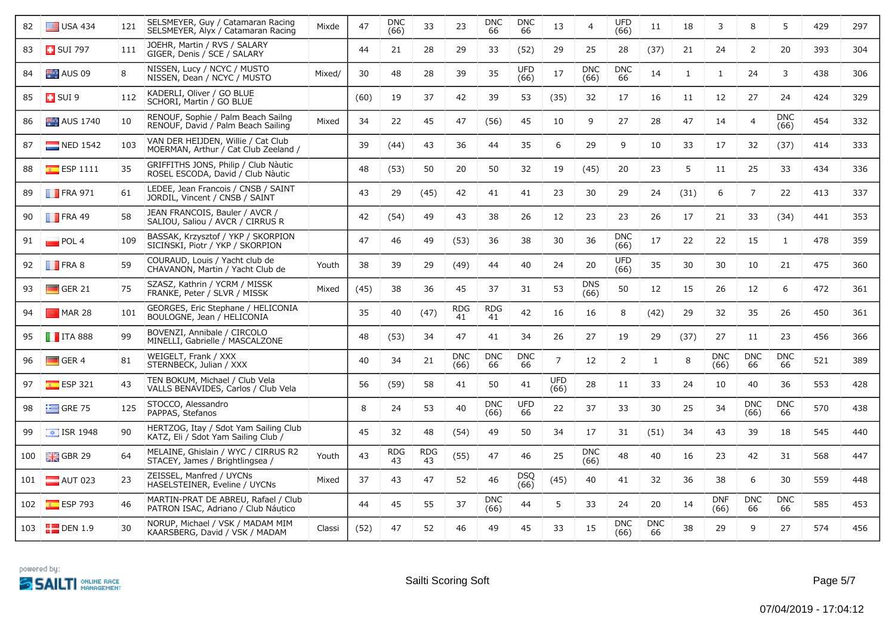| 82  | $\Box$ USA 434          | 121 | SELSMEYER, Guy / Catamaran Racing<br>SELSMEYER, Alyx / Catamaran Racing      | Mixde  | 47   | <b>DNC</b><br>(66) | 33               | 23                 | <b>DNC</b><br>66   | <b>DNC</b><br>66   | 13                 | $\overline{4}$     | <b>UFD</b><br>(66) | 11               | 18           | 3                  | 8                  | 5                  | 429 | 297 |
|-----|-------------------------|-----|------------------------------------------------------------------------------|--------|------|--------------------|------------------|--------------------|--------------------|--------------------|--------------------|--------------------|--------------------|------------------|--------------|--------------------|--------------------|--------------------|-----|-----|
| 83  | <b>B</b> SUI 797        | 111 | JOEHR, Martin / RVS / SALARY<br>GIGER, Denis / SCE / SALARY                  |        | 44   | 21                 | 28               | 29                 | 33                 | (52)               | 29                 | 25                 | 28                 | (37)             | 21           | 24                 | $\overline{2}$     | 20                 | 393 | 304 |
| 84  | AUS 09                  | 8   | NISSEN, Lucy / NCYC / MUSTO<br>NISSEN, Dean / NCYC / MUSTO                   | Mixed/ | 30   | 48                 | 28               | 39                 | 35                 | <b>UFD</b><br>(66) | 17                 | <b>DNC</b><br>(66) | <b>DNC</b><br>66   | 14               | $\mathbf{1}$ | $\mathbf{1}$       | 24                 | 3                  | 438 | 306 |
| 85  | $\Box$ SUI 9            | 112 | KADERLI, Oliver / GO BLUE<br>SCHORI, Martin / GO BLUE                        |        | (60) | 19                 | 37               | 42                 | 39                 | 53                 | (35)               | 32                 | 17                 | 16               | 11           | 12                 | 27                 | 24                 | 424 | 329 |
| 86  | <b>AUS</b> 1740         | 10  | RENOUF, Sophie / Palm Beach Sailng<br>RENOUF, David / Palm Beach Sailing     | Mixed  | 34   | 22                 | 45               | 47                 | (56)               | 45                 | 10                 | 9                  | 27                 | 28               | 47           | 14                 | $\overline{4}$     | <b>DNC</b><br>(66) | 454 | 332 |
| 87  | $\blacksquare$ NED 1542 | 103 | VAN DER HEIJDEN, Willie / Cat Club<br>MOERMAN, Arthur / Cat Club Zeeland /   |        | 39   | (44)               | 43               | 36                 | 44                 | 35                 | 6                  | 29                 | 9                  | 10               | 33           | 17                 | 32                 | (37)               | 414 | 333 |
| 88  | $E = ESP 1111$          | 35  | GRIFFITHS JONS, Philip / Club Nàutic<br>ROSEL ESCODA, David / Club Nàutic    |        | 48   | (53)               | 50               | 20                 | 50                 | 32                 | 19                 | (45)               | 20                 | 23               | 5            | 11                 | 25                 | 33                 | 434 | 336 |
| 89  | $\blacksquare$ FRA 971  | 61  | LEDEE, Jean Francois / CNSB / SAINT<br>JORDIL, Vincent / CNSB / SAINT        |        | 43   | 29                 | (45)             | 42                 | 41                 | 41                 | 23                 | 30                 | 29                 | 24               | (31)         | 6                  | $\overline{7}$     | 22                 | 413 | 337 |
| 90  | $\blacksquare$ FRA 49   | 58  | JEAN FRANCOIS, Bauler / AVCR /<br>SALIOU, Saliou / AVCR / CIRRUS R           |        | 42   | (54)               | 49               | 43                 | 38                 | 26                 | 12                 | 23                 | 23                 | 26               | 17           | 21                 | 33                 | (34)               | 441 | 353 |
| 91  | $\blacksquare$ POL 4    | 109 | BASSAK, Krzysztof / YKP / SKORPION<br>SICINSKI, Piotr / YKP / SKORPION       |        | 47   | 46                 | 49               | (53)               | 36                 | 38                 | 30                 | 36                 | <b>DNC</b><br>(66) | 17               | 22           | 22                 | 15                 | 1                  | 478 | 359 |
| 92  | $\blacksquare$ FRA 8    | 59  | COURAUD, Louis / Yacht club de<br>CHAVANON, Martin / Yacht Club de           | Youth  | 38   | 39                 | 29               | (49)               | 44                 | 40                 | 24                 | 20                 | UFD<br>(66)        | 35               | 30           | 30                 | 10                 | 21                 | 475 | 360 |
| 93  | $\Box$ GER 21           | 75  | SZASZ, Kathrin / YCRM / MISSK<br>FRANKE, Peter / SLVR / MISSK                | Mixed  | (45) | 38                 | 36               | 45                 | 37                 | 31                 | 53                 | <b>DNS</b><br>(66) | 50                 | 12               | 15           | 26                 | 12                 | 6                  | 472 | 361 |
| 94  | $MAR$ 28                | 101 | GEORGES, Eric Stephane / HELICONIA<br>BOULOGNE, Jean / HELICONIA             |        | 35   | 40                 | (47)             | <b>RDG</b><br>41   | <b>RDG</b><br>41   | 42                 | 16                 | 16                 | 8                  | (42)             | 29           | 32                 | 35                 | 26                 | 450 | 361 |
| 95  | <b>T</b> ITA 888        | 99  | BOVENZI, Annibale / CIRCOLO<br>MINELLI, Gabrielle / MASCALZONE               |        | 48   | (53)               | 34               | 47                 | 41                 | 34                 | 26                 | 27                 | 19                 | 29               | (37)         | 27                 | 11                 | 23                 | 456 | 366 |
| 96  | $\Box$ GER 4            | 81  | WEIGELT, Frank / XXX<br>STERNBECK, Julian / XXX                              |        | 40   | 34                 | 21               | <b>DNC</b><br>(66) | <b>DNC</b><br>66   | <b>DNC</b><br>66   | $\overline{7}$     | 12                 | $\overline{2}$     | $\mathbf{1}$     | 8            | <b>DNC</b><br>(66) | <b>DNC</b><br>66   | <b>DNC</b><br>66   | 521 | 389 |
| 97  | $E$ ESP 321             | 43  | TEN BOKUM, Michael / Club Vela<br>VALLS BENAVIDES, Carlos / Club Vela        |        | 56   | (59)               | 58               | 41                 | 50                 | 41                 | <b>UFD</b><br>(66) | 28                 | 11                 | 33               | 24           | 10                 | 40                 | 36                 | 553 | 428 |
| 98  | $\equiv$ GRE 75         | 125 | STOCCO, Alessandro<br>PAPPAS, Stefanos                                       |        | 8    | 24                 | 53               | 40                 | <b>DNC</b><br>(66) | <b>UFD</b><br>66   | 22                 | 37                 | 33                 | 30               | 25           | 34                 | <b>DNC</b><br>(66) | <b>DNC</b><br>66   | 570 | 438 |
| 99  | $\boxed{\div}$ ISR 1948 | 90  | HERTZOG, Itay / Sdot Yam Sailing Club<br>KATZ, Eli / Sdot Yam Sailing Club / |        | 45   | 32                 | 48               | (54)               | 49                 | 50                 | 34                 | 17                 | 31                 | (51)             | 34           | 43                 | 39                 | 18                 | 545 | 440 |
| 100 | $\frac{1}{2}$ GBR 29    | 64  | MELAINE, Ghislain / WYC / CIRRUS R2<br>STACEY, James / Brightlingsea /       | Youth  | 43   | <b>RDG</b><br>43   | <b>RDG</b><br>43 | (55)               | 47                 | 46                 | 25                 | <b>DNC</b><br>(66) | 48                 | 40               | 16           | 23                 | 42                 | 31                 | 568 | 447 |
| 101 | $\blacksquare$ AUT 023  | 23  | ZEISSEL, Manfred / UYCNs<br>HASELSTEINER, Eveline / UYCNs                    | Mixed  | 37   | 43                 | 47               | 52                 | 46                 | <b>DSQ</b><br>(66) | (45)               | 40                 | 41                 | 32               | 36           | 38                 | 6                  | 30                 | 559 | 448 |
| 102 | $E = ESP$ 793           | 46  | MARTIN-PRAT DE ABREU, Rafael / Club<br>PATRON ISAC, Adriano / Club Náutico   |        | 44   | 45                 | 55               | 37                 | <b>DNC</b><br>(66) | 44                 | 5                  | 33                 | 24                 | 20               | 14           | <b>DNF</b><br>(66) | <b>DNC</b><br>66   | <b>DNC</b><br>66   | 585 | 453 |
|     | 103 <b>DEN</b> 1.9      | 30  | NORUP, Michael / VSK / MADAM MIM<br>KAARSBERG, David / VSK / MADAM           | Classi | (52) | 47                 | 52               | 46                 | 49                 | 45                 | 33                 | 15                 | <b>DNC</b><br>(66) | <b>DNC</b><br>66 | 38           | 29                 | 9                  | 27                 | 574 | 456 |

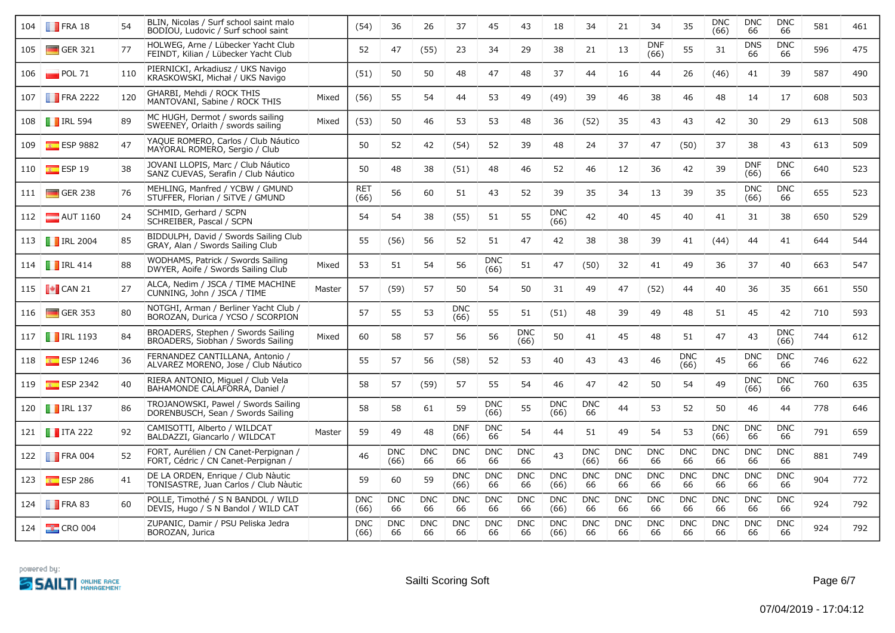| 104 | $\blacksquare$ FRA 18            | 54  | BLIN, Nicolas / Surf school saint malo<br>BODIOU, Ludovic / Surf school saint |        | (54)               | 36                 | 26               | 37                 | 45                 | 43                 | 18                 | 34                 | 21               | 34                 | 35                 | <b>DNC</b><br>(66) | <b>DNC</b><br>66   | <b>DNC</b><br>66   | 581 | 461 |
|-----|----------------------------------|-----|-------------------------------------------------------------------------------|--------|--------------------|--------------------|------------------|--------------------|--------------------|--------------------|--------------------|--------------------|------------------|--------------------|--------------------|--------------------|--------------------|--------------------|-----|-----|
| 105 | $\Box$ GER 321                   | 77  | HOLWEG, Arne / Lübecker Yacht Club<br>FEINDT, Kilian / Lübecker Yacht Club    |        | 52                 | 47                 | (55)             | 23                 | 34                 | 29                 | 38                 | 21                 | 13               | <b>DNF</b><br>(66) | 55                 | 31                 | <b>DNS</b><br>66   | <b>DNC</b><br>66   | 596 | 475 |
| 106 | $\blacksquare$ POL 71            | 110 | PIERNICKI, Arkadiusz / UKS Navigo<br>KRASKOWSKI, Michał / UKS Navigo          |        | (51)               | 50                 | 50               | 48                 | 47                 | 48                 | 37                 | 44                 | 16               | 44                 | 26                 | (46)               | 41                 | 39                 | 587 | 490 |
| 107 | <b>FRA 2222</b>                  | 120 | GHARBI, Mehdi / ROCK THIS<br>MANTOVANI, Sabine / ROCK THIS                    | Mixed  | (56)               | 55                 | 54               | 44                 | 53                 | 49                 | (49)               | 39                 | 46               | 38                 | 46                 | 48                 | 14                 | 17                 | 608 | 503 |
|     | 108 <b>TRL 594</b>               | 89  | MC HUGH, Dermot / swords sailing<br>SWEENEY, Orlaith / swords sailing         | Mixed  | (53)               | 50                 | 46               | 53                 | 53                 | 48                 | 36                 | (52)               | 35               | 43                 | 43                 | 42                 | 30                 | 29                 | 613 | 508 |
| 109 | $E$ ESP 9882                     | 47  | YAOUE ROMERO, Carlos / Club Náutico<br>MAYORAL ROMERO, Sergio / Club          |        | 50                 | 52                 | 42               | (54)               | 52                 | 39                 | 48                 | 24                 | 37               | 47                 | (50)               | 37                 | 38                 | 43                 | 613 | 509 |
| 110 | $\overline{\phantom{1}8}$ ESP 19 | 38  | JOVANI LLOPIS, Marc / Club Náutico<br>SANZ CUEVAS, Serafin / Club Náutico     |        | 50                 | 48                 | 38               | (51)               | 48                 | 46                 | 52                 | 46                 | 12               | 36                 | 42                 | 39                 | <b>DNF</b><br>(66) | <b>DNC</b><br>66   | 640 | 523 |
|     | 111 GER 238                      | 76  | MEHLING, Manfred / YCBW / GMUND<br>STUFFER, Florian / SiTVE / GMUND           |        | <b>RET</b><br>(66) | 56                 | 60               | 51                 | 43                 | 52                 | 39                 | 35                 | 34               | 13                 | 39                 | 35                 | <b>DNC</b><br>(66) | <b>DNC</b><br>66   | 655 | 523 |
|     | 112 <b>AUT</b> 1160              | 24  | SCHMID, Gerhard / SCPN<br>SCHREIBER, Pascal / SCPN                            |        | 54                 | 54                 | 38               | (55)               | 51                 | 55                 | <b>DNC</b><br>(66) | 42                 | 40               | 45                 | 40                 | 41                 | 31                 | 38                 | 650 | 529 |
|     | 113 <b>T</b> IRL 2004            | 85  | BIDDULPH, David / Swords Sailing Club<br>GRAY, Alan / Swords Sailing Club     |        | 55                 | (56)               | 56               | 52                 | 51                 | 47                 | 42                 | 38                 | 38               | 39                 | 41                 | (44)               | 44                 | 41                 | 644 | 544 |
|     | 114   RL 414                     | 88  | WODHAMS, Patrick / Swords Sailing<br>DWYER, Aoife / Swords Sailing Club       | Mixed  | 53                 | 51                 | 54               | 56                 | <b>DNC</b><br>(66) | 51                 | 47                 | (50)               | 32               | 41                 | 49                 | 36                 | 37                 | 40                 | 663 | 547 |
|     | 115 $\bullet$ CAN 21             | 27  | ALCA, Nedim / JSCA / TIME MACHINE<br>CUNNING, John / JSCA / TIME              | Master | 57                 | (59)               | 57               | 50                 | 54                 | 50                 | 31                 | 49                 | 47               | (52)               | 44                 | 40                 | 36                 | 35                 | 661 | 550 |
| 116 | $\Box$ GER 353                   | 80  | NOTGHI, Arman / Berliner Yacht Club /<br>BOROZAN, Durica / YCSO / SCORPION    |        | 57                 | 55                 | 53               | <b>DNC</b><br>(66) | 55                 | 51                 | (51)               | 48                 | 39               | 49                 | 48                 | 51                 | 45                 | 42                 | 710 | 593 |
|     | 117   RL 1193                    | 84  | BROADERS, Stephen / Swords Sailing<br>BROADERS, Siobhan / Swords Sailing      | Mixed  | 60                 | 58                 | 57               | 56                 | 56                 | <b>DNC</b><br>(66) | 50                 | 41                 | 45               | 48                 | 51                 | 47                 | 43                 | <b>DNC</b><br>(66) | 744 | 612 |
| 118 | $E$ ESP 1246                     | 36  | FERNANDEZ CANTILLANA, Antonio /<br>ALVAREZ MORENO, Jose / Club Náutico        |        | 55                 | 57                 | 56               | (58)               | 52                 | 53                 | 40                 | 43                 | 43               | 46                 | <b>DNC</b><br>(66) | 45                 | <b>DNC</b><br>66   | <b>DNC</b><br>66   | 746 | 622 |
| 119 | $\overline{\bullet}$ ESP 2342    | 40  | RIERA ANTONIO, Miquel / Club Vela<br>BAHAMONDE CALAFORRA, Daniel /            |        | 58                 | 57                 | (59)             | 57                 | 55                 | 54                 | 46                 | 47                 | 42               | 50                 | 54                 | 49                 | <b>DNC</b><br>(66) | <b>DNC</b><br>66   | 760 | 635 |
| 120 | $\blacksquare$ IRL 137           | 86  | TROJANOWSKI, Pawel / Swords Sailing<br>DORENBUSCH, Sean / Swords Sailing      |        | 58                 | 58                 | 61               | 59                 | <b>DNC</b><br>(66) | 55                 | <b>DNC</b><br>(66) | <b>DNC</b><br>66   | 44               | 53                 | 52                 | 50                 | 46                 | 44                 | 778 | 646 |
|     | 121 $\blacksquare$ ITA 222       | 92  | CAMISOTTI, Alberto / WILDCAT<br>BALDAZZI, Giancarlo / WILDCAT                 | Master | 59                 | 49                 | 48               | <b>DNF</b><br>(66) | <b>DNC</b><br>66   | 54                 | 44                 | 51                 | 49               | 54                 | 53                 | <b>DNC</b><br>(66) | <b>DNC</b><br>66   | <b>DNC</b><br>66   | 791 | 659 |
|     | 122 <b>FRA</b> 004               | 52  | FORT, Aurélien / CN Canet-Perpignan /<br>FORT, Cédric / CN Canet-Perpignan /  |        | 46                 | <b>DNC</b><br>(66) | <b>DNC</b><br>66 | <b>DNC</b><br>66   | <b>DNC</b><br>66   | <b>DNC</b><br>66   | 43                 | <b>DNC</b><br>(66) | <b>DNC</b><br>66 | <b>DNC</b><br>66   | <b>DNC</b><br>66   | <b>DNC</b><br>66   | <b>DNC</b><br>66   | <b>DNC</b><br>66   | 881 | 749 |
| 123 | $E$ ESP 286                      | 41  | DE LA ORDEN, Enrique / Club Nàutic<br>TONISASTRE, Juan Carlos / Club Nàutic   |        | 59                 | 60                 | 59               | <b>DNC</b><br>(66) | <b>DNC</b><br>66   | <b>DNC</b><br>66   | <b>DNC</b><br>(66) | <b>DNC</b><br>66   | <b>DNC</b><br>66 | <b>DNC</b><br>66   | <b>DNC</b><br>66   | <b>DNC</b><br>66   | <b>DNC</b><br>66   | <b>DNC</b><br>66   | 904 | 772 |
|     | 124 <b>FRA 83</b>                | 60  | POLLE, Timothé / S N BANDOL / WILD<br>DEVIS, Hugo / S N Bandol / WILD CAT     |        | <b>DNC</b><br>(66) | <b>DNC</b><br>66   | <b>DNC</b><br>66 | <b>DNC</b><br>66   | <b>DNC</b><br>66   | <b>DNC</b><br>66   | <b>DNC</b><br>(66) | <b>DNC</b><br>66   | <b>DNC</b><br>66 | <b>DNC</b><br>66   | <b>DNC</b><br>66   | <b>DNC</b><br>66   | <b>DNC</b><br>66   | <b>DNC</b><br>66   | 924 | 792 |
| 124 | $\frac{1}{2}$ CRO 004            |     | ZUPANIC, Damir / PSU Peliska Jedra<br>BOROZAN, Jurica                         |        | <b>DNC</b><br>(66) | <b>DNC</b><br>66   | <b>DNC</b><br>66 | <b>DNC</b><br>66   | <b>DNC</b><br>66   | <b>DNC</b><br>66   | <b>DNC</b><br>(66) | <b>DNC</b><br>66   | <b>DNC</b><br>66 | <b>DNC</b><br>66   | <b>DNC</b><br>66   | <b>DNC</b><br>66   | <b>DNC</b><br>66   | <b>DNC</b><br>66   | 924 | 792 |